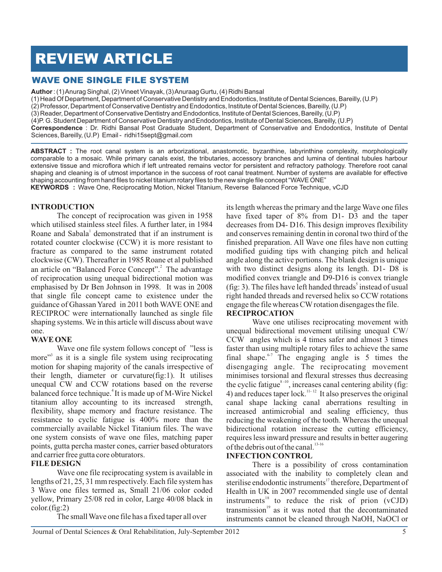# REVIEW ARTICLE

# WAVE ONE SINGLE FILE SYSTEM

**Author** : (1) Anurag Singhal, (2) Vineet Vinayak, (3) Anuraag Gurtu, (4) Ridhi Bansal

(1) Head Of Department, Department of Conservative Dentistry and Endodontics, Institute of Dental Sciences, Bareilly, (U.P)

(2) Professor, Department of Conservative Dentistry and Endodontics, Institute of Dental Sciences, Bareilly, (U.P)

(3) Reader, Department of Conservative Dentistry and Endodontics, Institute of Dental Sciences, Bareilly, (U.P)

(4)P. G. Student Department of Conservative Dentistry and Endodontics, Institute of Dental Sciences, Bareilly, (U.P)

**Correspondence** : Dr. Ridhi Bansal Post Graduate Student, Department of Conservative and Endodontics, Institute of Dental Sciences, Bareilly, (U.P) Email - ridhi15sept@gmail.com

**ABSTRACT :** The root canal system is an arborizational, anastomotic, byzanthine, labyrinthine complexity, morphologically comparable to a mosaic. While primary canals exist, the tributaries, accessory branches and lumina of dentinal tubules harbour extensive tissue and microflora which if left untreated remains vector for persistent and refractory pathology. Therefore root canal shaping and cleaning is of utmost importance in the success of root canal treatment. Number of systems are available for effective shaping accounting from hand files to nickel titanium rotary files to the new single file concept "WAVE ONE" **KEYWORDS :** Wave One, Reciprocating Motion, Nickel Titanium, Reverse Balanced Force Technique, vCJD

#### **INTRODUCTION**

The concept of reciprocation was given in 1958 which utilised stainless steel files. A further later, in 1984 Roane and Sabala<sup>1</sup> demonstrated that if an instrument is rotated counter clockwise (CCW) it is more resistant to fracture as compared to the same instrument rotated clockwise (CW). Thereafter in 1985 Roane et al published an article on "Balanced Force Concept".<sup>2</sup> The advantage of reciprocation using unequal bidirectional motion was emphasised by Dr Ben Johnson in 1998. It was in 2008 that single file concept came to existence under the guidance of Ghassan Yared in 2011 both WAVE ONE and RECIPROC were internationally launched as single file shaping systems. We in this article will discuss about wave one.

## **WAVE ONE**

Wave one file system follows concept of "less is more"<sup>3</sup> as it is a single file system using reciprocating motion for shaping majority of the canals irrespective of their length, diameter or curvature(fig:1). It utilises unequal CW and CCW rotations based on the reverse balanced force technique.<sup>4</sup> It is made up of M-Wire Nickel titanium alloy accounting to its increased strength, flexibility, shape memory and fracture resistance. The resistance to cyclic fatigue is 400% more than the commercially available Nickel Titanium files. The wave one system consists of wave one files, matching paper points, gutta percha master cones, carrier based obturators and carrier free gutta core obturators.

## **FILE DESIGN**

Wave one file reciprocating system is available in lengths of 21, 25, 31 mm respectively. Each file system has 3 Wave one files termed as, Small 21/06 color coded yellow, Primary 25/08 red in color, Large 40/08 black in color.(fig:2)

The small Wave one file has a fixed taper all over

its length whereas the primary and the large Wave one files have fixed taper of 8% from D1- D3 and the taper decreases from D4- D16. This design improves flexibility and conserves remaining dentin in coronal two third of the finished preparation. All Wave one files have non cutting modified guiding tips with changing pitch and helical angle along the active portions. The blank design is unique with two distinct designs along its length. D1- D8 is modified convex triangle and D9-D16 is convex triangle (fig: 3). The files have left handed threads<sup>5</sup> instead of usual right handed threads and reversed helix so CCW rotations engage the file whereas CW rotation disengages the file.

#### **RECIPROCATION**

Wave one utilises reciprocating movement with unequal bidirectional movement utilising unequal CW/ CCW angles which is 4 times safer and almost 3 times faster than using multiple rotary files to achieve the same final shape. <sup>6-7</sup> The engaging angle is 5 times the disengaging angle. The reciprocating movement minimises torsional and flexural stresses thus decreasing the cyclic fatigue<sup>8-10</sup>, increases canal centering ability (fig: 11. 12 4) and reduces taper lock.<sup> $11-12$ </sup> It also preserves the original canal shape lacking canal aberrations resulting in increased antimicrobial and sealing efficiency, thus reducing the weakening of the tooth. Whereas the unequal bidirectional rotation increase the cutting efficiency, requires less inward pressure and results in better augering of the debris out of the canal.<sup>13-16</sup>

#### **INFECTION CONTROL**

There is a possibility of cross contamination associated with the inability to completely clean and sterilise endodontic instruments<sup>17</sup> therefore, Department of Health in UK in 2007 recommended single use of dental instruments<sup>18</sup> to reduce the risk of prion  $(vCJD)$  $transmission<sup>19</sup>$  as it was noted that the decontaminated instruments cannot be cleaned through NaOH, NaOCl or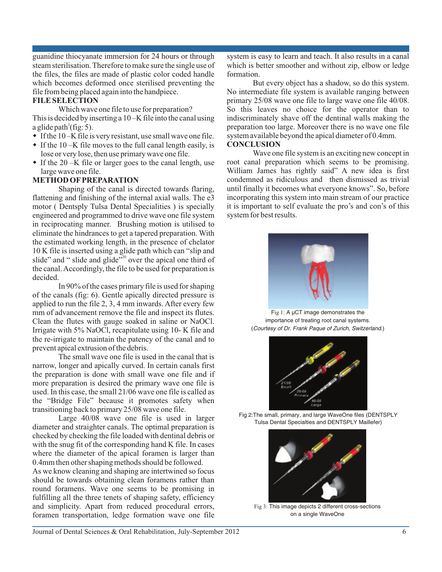guanidine thiocyanate immersion for 24 hours or through steam sterilisation. Therefore to make sure the single use of the files, the files are made of plastic color coded handle which becomes deformed once sterilised preventing the file from being placed again into the handpiece.

#### **FILE SELECTION**

Which wave one file to use for preparation? This is decided by inserting a 10 –K file into the canal using a glide path<sup>3</sup>(fig: 5).

- $\bullet$  If the 10 –K file is very resistant, use small wave one file.
- $\bullet$  If the 10 –K file moves to the full canal length easily, is lose or very lose, then use primary wave one file.
- $\bullet$  If the 20 –K file or larger goes to the canal length, use large wave one file.

#### **METHOD OF PREPARATION**

Shaping of the canal is directed towards flaring, flattening and finishing of the internal axial walls. The e3 motor ( Dentsply Tulsa Dental Specialities ) is specially engineered and programmed to drive wave one file system in reciprocating manner. Brushing motion is utilised to eliminate the hindrances to get a tapered preparation. With the estimated working length, in the presence of chelator 10 K file is inserted using a glide path which can "slip and slide" and " slide and glide"<sup>520</sup> over the apical one third of the canal. Accordingly, the file to be used for preparation is decided.

 In 90% of the cases primary file is used for shaping of the canals (fig: 6). Gentle apically directed pressure is applied to run the file 2, 3, 4 mm inwards. After every few mm of advancement remove the file and inspect its flutes. Clean the flutes with gauge soaked in saline or NaOCl. Irrigate with 5% NaOCl, recapitulate using 10- K file and the re-irrigate to maintain the patency of the canal and to prevent apical extrusion of the debris.

The small wave one file is used in the canal that is narrow, longer and apically curved. In certain canals first the preparation is done with small wave one file and if more preparation is desired the primary wave one file is used. In this case, the small 21/06 wave one file is called as the "Bridge File" because it promotes safety when transitioning back to primary 25/08 wave one file.

Large 40/08 wave one file is used in larger diameter and straighter canals. The optimal preparation is checked by checking the file loaded with dentinal debris or with the snug fit of the corresponding hand K file. In cases where the diameter of the apical foramen is larger than 0.4mm then other shaping methods should be followed.

As we know cleaning and shaping are intertwined so focus should be towards obtaining clean foramens rather than round foramens. Wave one seems to be promising in fulfilling all the three tenets of shaping safety, efficiency and simplicity. Apart from reduced procedural errors, foramen transportation, ledge formation wave one file

system is easy to learn and teach. It also results in a canal which is better smoother and without zip, elbow or ledge formation.

But every object has a shadow, so do this system. No intermediate file system is available ranging between primary 25/08 wave one file to large wave one file 40/08. So this leaves no choice for the operator than to indiscriminately shave off the dentinal walls making the preparation too large. Moreover there is no wave one file system available beyond the apical diameter of 0.4mm.

#### **CONCLUSION**

Wave one file system is an exciting new concept in root canal preparation which seems to be promising. William James has rightly said" A new idea is first condemned as ridiculous and then dismissed as trivial until finally it becomes what everyone knows". So, before incorporating this system into main stream of our practice it is important to self evaluate the pro's and con's of this system for best results.



Fig 1: A  $\mu$ CT image demonstrates the importance of treating root canal systems. (*Courtesy of Dr. Frank Paque of Zurich, Switzerland*.)



Fig 2:The small, primary, and large WaveOne files (DENTSPLY Tulsa Dental Specialties and DENTSPLY Maillefer)



Fig 3: This image depicts 2 different cross-sections on a single WaveOne